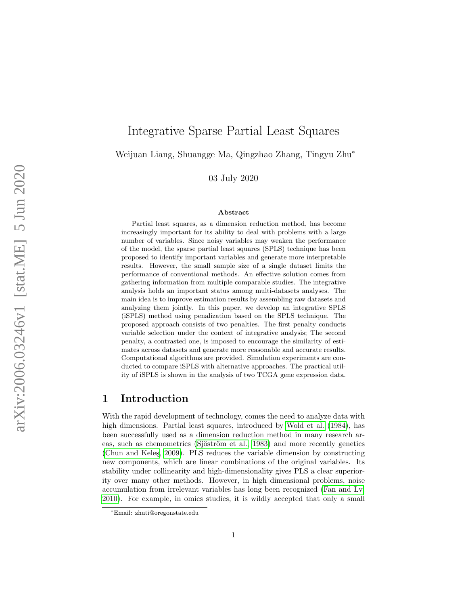# Integrative Sparse Partial Least Squares

Weijuan Liang, Shuangge Ma, Qingzhao Zhang, Tingyu Zhu ∗

03 July 2020

#### Abstract

Partial least squares, as a dimension reduction method, has become increasingly important for its ability to deal with problems with a large number of variables. Since noisy variables may weaken the performance of the model, the sparse partial least squares (SPLS) technique has been proposed to identify important variables and generate more interpretable results. However, the small sample size of a single dataset limits the performance of conventional methods. An effective solution comes from gathering information from multiple comparable studies. The integrative analysis holds an important status among multi-datasets analyses. The main idea is to improve estimation results by assembling raw datasets and analyzing them jointly. In this paper, we develop an integrative SPLS (iSPLS) method using penalization based on the SPLS technique. The proposed approach consists of two penalties. The first penalty conducts variable selection under the context of integrative analysis; The second penalty, a contrasted one, is imposed to encourage the similarity of estimates across datasets and generate more reasonable and accurate results. Computational algorithms are provided. Simulation experiments are conducted to compare iSPLS with alternative approaches. The practical utility of iSPLS is shown in the analysis of two TCGA gene expression data.

# 1 Introduction

With the rapid development of technology, comes the need to analyze data with high dimensions. Partial least squares, introduced by [Wold et al.](#page-19-0) [\(1984\)](#page-19-0), has been successfully used as a dimension reduction method in many research areas, such as chemometrics (Sjöström et al., 1983) and more recently genetics (Chun and Keleş, 2009). PLS reduces the variable dimension by constructing new components, which are linear combinations of the original variables. Its stability under collinearity and high-dimensionality gives PLS a clear superiority over many other methods. However, in high dimensional problems, noise accumulation from irrelevant variables has long been recognized [\(Fan and Lv,](#page-18-1) [2010\)](#page-18-1). For example, in omics studies, it is wildly accepted that only a small

<sup>∗</sup>Email: zhuti@oregonstate.edu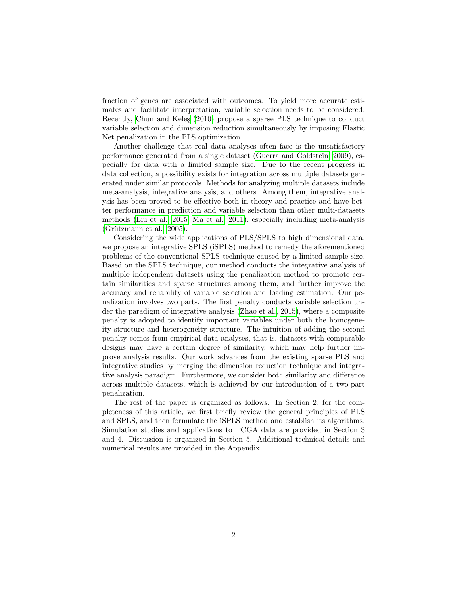fraction of genes are associated with outcomes. To yield more accurate estimates and facilitate interpretation, variable selection needs to be considered. Recently, Chun and Keles [\(2010\)](#page-18-2) propose a sparse PLS technique to conduct variable selection and dimension reduction simultaneously by imposing Elastic Net penalization in the PLS optimization.

Another challenge that real data analyses often face is the unsatisfactory performance generated from a single dataset [\(Guerra and Goldstein, 2009\)](#page-18-3), especially for data with a limited sample size. Due to the recent progress in data collection, a possibility exists for integration across multiple datasets generated under similar protocols. Methods for analyzing multiple datasets include meta-analysis, integrative analysis, and others. Among them, integrative analysis has been proved to be effective both in theory and practice and have better performance in prediction and variable selection than other multi-datasets methods [\(Liu et al., 2015;](#page-19-2) [Ma et al., 2011\)](#page-19-3), especially including meta-analysis  $(Griitzmann et al., 2005).$ 

Considering the wide applications of PLS/SPLS to high dimensional data, we propose an integrative SPLS (iSPLS) method to remedy the aforementioned problems of the conventional SPLS technique caused by a limited sample size. Based on the SPLS technique, our method conducts the integrative analysis of multiple independent datasets using the penalization method to promote certain similarities and sparse structures among them, and further improve the accuracy and reliability of variable selection and loading estimation. Our penalization involves two parts. The first penalty conducts variable selection under the paradigm of integrative analysis [\(Zhao et al., 2015\)](#page-19-4), where a composite penalty is adopted to identify important variables under both the homogeneity structure and heterogeneity structure. The intuition of adding the second penalty comes from empirical data analyses, that is, datasets with comparable designs may have a certain degree of similarity, which may help further improve analysis results. Our work advances from the existing sparse PLS and integrative studies by merging the dimension reduction technique and integrative analysis paradigm. Furthermore, we consider both similarity and difference across multiple datasets, which is achieved by our introduction of a two-part penalization.

The rest of the paper is organized as follows. In Section 2, for the completeness of this article, we first briefly review the general principles of PLS and SPLS, and then formulate the iSPLS method and establish its algorithms. Simulation studies and applications to TCGA data are provided in Section 3 and 4. Discussion is organized in Section 5. Additional technical details and numerical results are provided in the Appendix.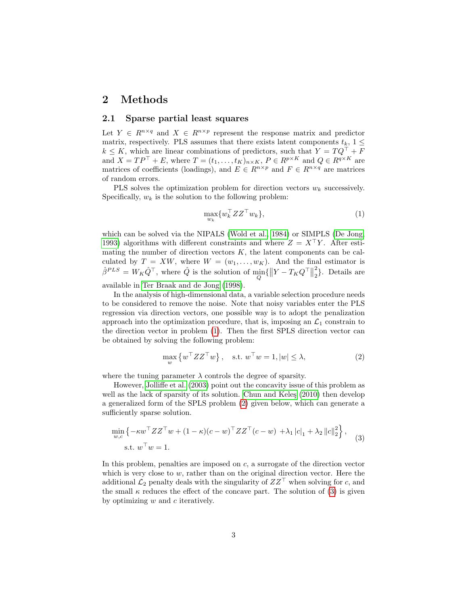# 2 Methods

### 2.1 Sparse partial least squares

Let  $Y \in R^{n \times q}$  and  $X \in R^{n \times p}$  represent the response matrix and predictor matrix, respectively. PLS assumes that there exists latent components  $t_k$ ,  $1 \leq$  $k \leq K$ , which are linear combinations of predictors, such that  $Y = TQ^{\top} + F$ and  $X = TP^{\top} + E$ , where  $T = (t_1, \ldots, t_K)_{n \times K}$ ,  $P \in R^{p \times K}$  and  $Q \in R^{q \times K}$  are matrices of coefficients (loadings), and  $E \in R^{n \times p}$  and  $F \in R^{n \times q}$  are matrices of random errors.

PLS solves the optimization problem for direction vectors  $w_k$  successively. Specifically,  $w_k$  is the solution to the following problem:

<span id="page-2-0"></span>
$$
\max_{w_k} \{ w_k^\top Z Z^\top w_k \},\tag{1}
$$

which can be solved via the NIPALS [\(Wold et al., 1984\)](#page-19-0) or SIMPLS [\(De Jong,](#page-18-5) [1993\)](#page-18-5) algorithms with different constraints and where  $Z = X^{\dagger}Y$ . After estimating the number of direction vectors  $K$ , the latent components can be calculated by  $T = XW$ , where  $W = (w_1, \ldots, w_K)$ . And the final estimator is  $\hat{\beta}^{PLS} = W_K \hat{Q}^{\top}$ , where  $\hat{Q}$  is the solution of  $\min_{Q} \{ ||Y - T_K Q^{\top}||$ 2  $2\}$ . Details are available in [Ter Braak and de Jong](#page-19-5) [\(1998\)](#page-19-5).

In the analysis of high-dimensional data, a variable selection procedure needs to be considered to remove the noise. Note that noisy variables enter the PLS regression via direction vectors, one possible way is to adopt the penalization approach into the optimization procedure, that is, imposing an  $\mathcal{L}_1$  constrain to the direction vector in problem [\(1\)](#page-2-0). Then the first SPLS direction vector can be obtained by solving the following problem:

<span id="page-2-1"></span>
$$
\max_{w} \{ w^{\top} Z Z^{\top} w \}, \quad \text{s.t. } w^{\top} w = 1, |w| \le \lambda,
$$
 (2)

where the tuning parameter  $\lambda$  controls the degree of sparsity.

However, [Jolliffe et al.](#page-19-6) [\(2003\)](#page-19-6) point out the concavity issue of this problem as well as the lack of sparsity of its solution. Chun and Keleş  $(2010)$  then develop a generalized form of the SPLS problem [\(2\)](#page-2-1) given below, which can generate a sufficiently sparse solution.

<span id="page-2-2"></span>
$$
\min_{w,c} \left\{ -\kappa w^\top Z Z^\top w + (1 - \kappa)(c - w)^\top Z Z^\top (c - w) + \lambda_1 |c|_1 + \lambda_2 ||c||_2^2 \right\},\tag{3}
$$
  
s.t. 
$$
w^\top w = 1.
$$

In this problem, penalties are imposed on c, a surrogate of the direction vector which is very close to  $w$ , rather than on the original direction vector. Here the additional  $\mathcal{L}_2$  penalty deals with the singularity of  $ZZ^{\top}$  when solving for c, and the small  $\kappa$  reduces the effect of the concave part. The solution of [\(3\)](#page-2-2) is given by optimizing  $w$  and  $c$  iteratively.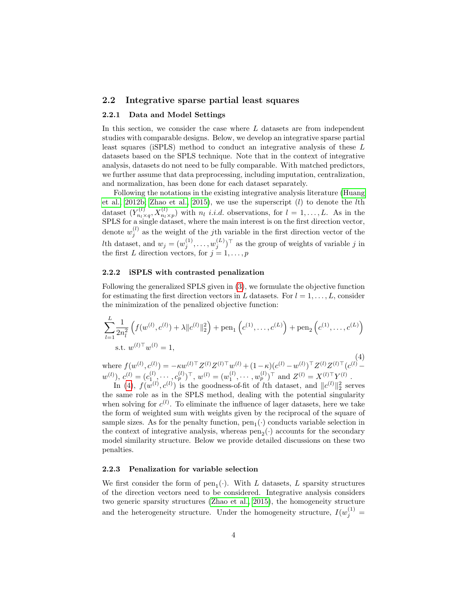### 2.2 Integrative sparse partial least squares

#### 2.2.1 Data and Model Settings

In this section, we consider the case where L datasets are from independent studies with comparable designs. Below, we develop an integrative sparse partial least squares (iSPLS) method to conduct an integrative analysis of these L datasets based on the SPLS technique. Note that in the context of integrative analysis, datasets do not need to be fully comparable. With matched predictors, we further assume that data preprocessing, including imputation, centralization, and normalization, has been done for each dataset separately.

Following the notations in the existing integrative analysis literature [\(Huang](#page-19-7) [et al., 2012b;](#page-19-7) [Zhao et al., 2015\)](#page-19-4), we use the superscript  $(l)$  to denote the *l*th dataset  $(Y_{n_l \times q}^{(l)}, X_{n_l \times p}^{(l)})$  with  $n_l$  *i.i.d.* observations, for  $l = 1, ..., L$ . As in the SPLS for a single dataset, where the main interest is on the first direction vector, denote  $w_j^{(l)}$  as the weight of the *j*th variable in the first direction vector of the Ith dataset, and  $w_j = (w_j^{(1)}, \ldots, w_j^{(L)})^{\top}$  as the group of weights of variable j in the first L direction vectors, for  $j = 1, \ldots, p$ 

#### 2.2.2 iSPLS with contrasted penalization

Following the generalized SPLS given in [\(3\)](#page-2-2), we formulate the objective function for estimating the first direction vectors in L datasets. For  $l = 1, \ldots, L$ , consider the minimization of the penalized objective function:

<span id="page-3-0"></span>
$$
\sum_{l=1}^{L} \frac{1}{2n_l^2} \left( f(w^{(l)}, c^{(l)}) + \lambda \| c^{(l)} \|_2^2 \right) + \text{pen}_1 \left( c^{(1)}, \dots, c^{(L)} \right) + \text{pen}_2 \left( c^{(1)}, \dots, c^{(L)} \right)
$$
  
s.t.  $w^{(l)\top} w^{(l)} = 1$ ,

(4) where  $f(w^{(l)}, c^{(l)}) = -\kappa w^{(l)\top} Z^{(l)} Z^{(l)\top} w^{(l)} + (1-\kappa) (c^{(l)} - w^{(l)})^{\top} Z^{(l)} Z^{(l)\top} (c^{(l)}$  $w^{(l)}$ ,  $c^{(l)} = (c_{1}^{(l)}, \dots, c_p^{(l)})^{\top}$ ,  $w^{(l)} = (w_1^{(l)}, \dots, w_p^{(l)})^{\top}$  and  $Z^{(l)} = X^{(l)\top} Y^{(l)}$ .

In [\(4\)](#page-3-0),  $f(w^{(l)}, c^{(l)})$  is the goodness-of-fit of *l*th dataset, and  $||c^{(l)}||_2^2$  serves the same role as in the SPLS method, dealing with the potential singularity when solving for  $c^{(l)}$ . To eliminate the influence of lager datasets, here we take the form of weighted sum with weights given by the reciprocal of the square of sample sizes. As for the penalty function,  $pen_1(\cdot)$  conducts variable selection in the context of integrative analysis, whereas  $pen_2(\cdot)$  accounts for the secondary model similarity structure. Below we provide detailed discussions on these two penalties.

#### 2.2.3 Penalization for variable selection

We first consider the form of  $pen_1(\cdot)$ . With L datasets, L sparsity structures of the direction vectors need to be considered. Integrative analysis considers two generic sparsity structures [\(Zhao et al., 2015\)](#page-19-4), the homogeneity structure and the heterogeneity structure. Under the homogeneity structure,  $I(w_j^{(1)} =$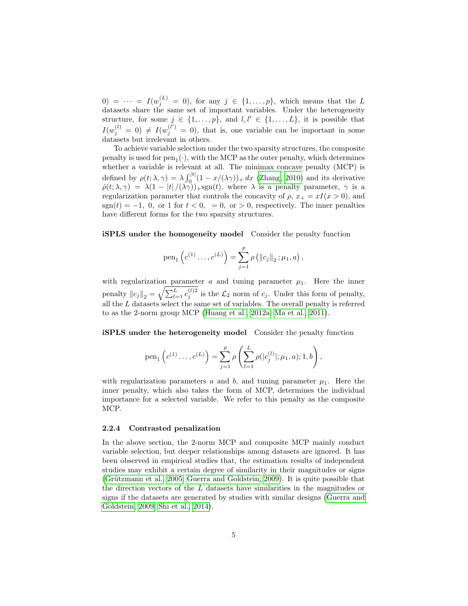$(0) = \cdots = I(w_j^{(L)} = 0)$ , for any  $j \in \{1, \ldots, p\}$ , which means that the L datasets share the same set of important variables. Under the heterogeneity structure, for some  $j \in \{1, \ldots, p\}$ , and  $l, l' \in \{1, \ldots, L\}$ , it is possible that  $I(w_j^{(l)} = 0) \neq I(w_j^{(l')} = 0)$ , that is, one variable can be important in some datasets but irrelevant in others.

To achieve variable selection under the two sparsity structures, the composite penalty is used for  $pen_1(\cdot)$ , with the MCP as the outer penalty, which determines whether a variable is relevant at all. The minimax concave penalty (MCP) is defined by  $\rho(t; \lambda, \gamma) = \lambda \int_0^{|t|} (1 - x/(\lambda \gamma))_+ dx$  [\(Zhang, 2010\)](#page-19-8) and its derivative  $\dot{\rho}(t; \lambda, \gamma) = \lambda(1 - |t|/(\lambda \gamma))_{+}$ sgn $(t)$ , where  $\lambda$  is a penalty parameter,  $\gamma$  is a regularization parameter that controls the concavity of  $\rho$ ,  $x_+ = xI(x > 0)$ , and  $sgn(t) = -1$ , 0, or 1 for  $t < 0$ , = 0, or > 0, respectively. The inner penalties have different forms for the two sparsity structures.

iSPLS under the homogeneity model Consider the penalty function

pen<sub>1</sub> 
$$
\left( c^{(1)} \dots, c^{(L)} \right) = \sum_{j=1}^{p} \rho \left( ||c_j||_2 ; \mu_1, a \right),
$$

with regularization parameter  $a$  and tuning parameter  $\mu_1$ . Here the inner penalty  $||c_j||_2 = \sqrt{\sum_{l=1}^L c_j^{(l)2}}$  is the  $\mathcal{L}_2$  norm of  $c_j$ . Under this form of penalty, all the  $L$  datasets select the same set of variables. The overall penalty is referred to as the 2-norm group MCP [\(Huang et al., 2012a;](#page-18-6) [Ma et al., 2011\)](#page-19-3).

iSPLS under the heterogeneity model Consider the penalty function

pen<sub>1</sub> 
$$
\left(c^{(1)}\ldots,c^{(L)}\right) = \sum_{j=1}^{p} \rho \left(\sum_{l=1}^{L} \rho(|c_j^{(l)}|;\mu_1,a);1,b\right),
$$

with regularization parameters a and b, and tuning parameter  $\mu_1$ . Here the inner penalty, which also takes the form of MCP, determines the individual importance for a selected variable. We refer to this penalty as the composite MCP.

#### 2.2.4 Contrasted penalization

In the above section, the 2-norm MCP and composite MCP mainly conduct variable selection, but deeper relationships among datasets are ignored. It has been observed in empirical studies that, the estimation results of independent studies may exhibit a certain degree of similarity in their magnitudes or signs (Grützmann et al., 2005; [Guerra and Goldstein, 2009\)](#page-18-3). It is quite possible that the direction vectors of the L datasets have similarities in the magnitudes or signs if the datasets are generated by studies with similar designs [\(Guerra and](#page-18-3) [Goldstein, 2009;](#page-18-3) [Shi et al., 2014\)](#page-19-9).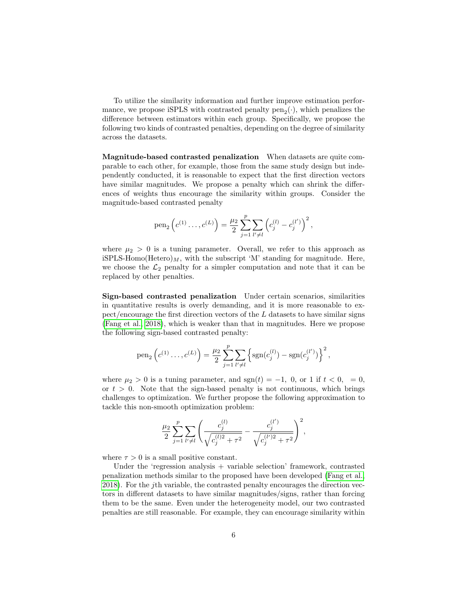To utilize the similarity information and further improve estimation performance, we propose iSPLS with contrasted penalty  $pen_2(\cdot)$ , which penalizes the difference between estimators within each group. Specifically, we propose the following two kinds of contrasted penalties, depending on the degree of similarity across the datasets.

Magnitude-based contrasted penalization When datasets are quite comparable to each other, for example, those from the same study design but independently conducted, it is reasonable to expect that the first direction vectors have similar magnitudes. We propose a penalty which can shrink the differences of weights thus encourage the similarity within groups. Consider the magnitude-based contrasted penalty

pen<sub>2</sub> 
$$
\left(c^{(1)} \ldots, c^{(L)}\right) = \frac{\mu_2}{2} \sum_{j=1}^{p} \sum_{l' \neq l} \left(c_j^{(l)} - c_j^{(l')}\right)^2,
$$

where  $\mu_2 > 0$  is a tuning parameter. Overall, we refer to this approach as iSPLS-Homo(Hetero) $_M$ , with the subscript 'M' standing for magnitude. Here, we choose the  $\mathcal{L}_2$  penalty for a simpler computation and note that it can be replaced by other penalties.

Sign-based contrasted penalization Under certain scenarios, similarities in quantitative results is overly demanding, and it is more reasonable to expect/encourage the first direction vectors of the L datasets to have similar signs [\(Fang et al., 2018\)](#page-18-7), which is weaker than that in magnitudes. Here we propose the following sign-based contrasted penalty:

pen<sub>2</sub> 
$$
\left(c^{(1)} \ldots, c^{(L)}\right) = \frac{\mu_2}{2} \sum_{j=1}^{p} \sum_{l' \neq l} \left\{ \text{sgn}(c_j^{(l)}) - \text{sgn}(c_j^{(l')}) \right\}^2
$$
,

where  $\mu_2 > 0$  is a tuning parameter, and sgn $(t) = -1$ , 0, or 1 if  $t < 0$ , = 0, or  $t > 0$ . Note that the sign-based penalty is not continuous, which brings challenges to optimization. We further propose the following approximation to tackle this non-smooth optimization problem:

$$
\frac{\mu_2}{2} \sum_{j=1}^p \sum_{l'\neq l} \left( \frac{c_j^{(l)}}{\sqrt{c_j^{(l)2} + \tau^2}} - \frac{c_j^{(l')}}{\sqrt{c_j^{(l')2} + \tau^2}} \right)^2,
$$

where  $\tau > 0$  is a small positive constant.

Under the 'regression analysis + variable selection' framework, contrasted penalization methods similar to the proposed have been developed [\(Fang et al.,](#page-18-7) [2018\)](#page-18-7). For the jth variable, the contrasted penalty encourages the direction vectors in different datasets to have similar magnitudes/signs, rather than forcing them to be the same. Even under the heterogeneity model, our two contrasted penalties are still reasonable. For example, they can encourage similarity within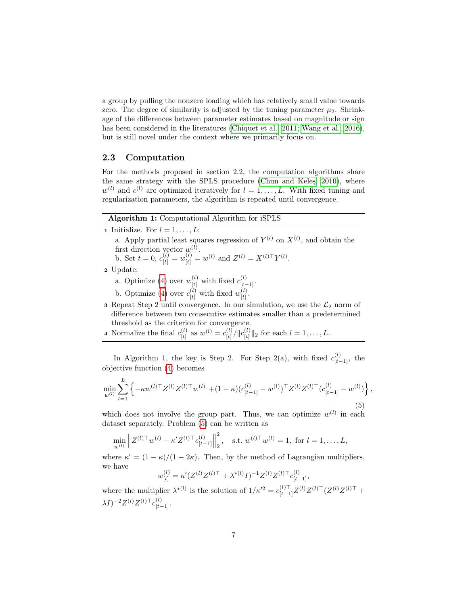a group by pulling the nonzero loading which has relatively small value towards zero. The degree of similarity is adjusted by the tuning parameter  $\mu_2$ . Shrinkage of the differences between parameter estimates based on magnitude or sign has been considered in the literatures [\(Chiquet et al., 2011;](#page-18-8) [Wang et al., 2016\)](#page-19-10), but is still novel under the context where we primarily focus on.

### 2.3 Computation

For the methods proposed in section 2.2, the computation algorithms share the same strategy with the SPLS procedure (Chun and Keles, 2010), where  $w^{(l)}$  and  $c^{(l)}$  are optimized iteratively for  $l = 1, \ldots, L$ . With fixed tuning and regularization parameters, the algorithm is repeated until convergence.

### Algorithm 1: Computational Algorithm for iSPLS

1 Initialize. For  $l = 1, \ldots, L$ :

a. Apply partial least squares regression of  $Y^{(l)}$  on  $X^{(l)}$ , and obtain the first direction vector  $w^{(l)}$ .

b. Set 
$$
t = 0
$$
,  $c_{[t]}^{(l)} = w_{[t]}^{(l)} = w^{(l)}$  and  $Z^{(l)} = X^{(l)\top}Y^{(l)}$ .

- 2 Update:
	- a. Optimize [\(4\)](#page-3-0) over  $w_{[t]}^{(l)}$  with fixed  $c_{[t-1]}^{(l)}$ .
	- b. Optimize [\(4\)](#page-3-0) over  $c_{[t]}^{(l)}$  with fixed  $w_{[t]}^{(l)}$  $\frac{(t)}{[t]}$  .

3 Repeat Step 2 until convergence. In our simulation, we use the  $\mathcal{L}_2$  norm of difference between two consecutive estimates smaller than a predetermined threshold as the criterion for convergence.

4 Normalize the final  $c_{\text{H}}^{(l)}$  $\binom{l}{[t]}$  as  $w^{(l)} = c^{(l)}_{[t]}$  $\frac{d(t)}{dt} / \Vert c_{[t]}^{(l)}$  $\|t\|_{[t]}^{(t)} \|_2$  for each  $l = 1, \ldots, L$ .

In Algorithm 1, the key is Step 2. For Step 2(a), with fixed  $c_{[t-1]}^{(l)}$ , the objective function [\(4\)](#page-3-0) becomes

<span id="page-6-0"></span>
$$
\min_{w^{(l)}} \sum_{l=1}^{L} \left\{ -\kappa w^{(l)\top} Z^{(l)} Z^{(l)\top} w^{(l)} + (1-\kappa) (c_{[t-1]}^{(l)} - w^{(l)})^{\top} Z^{(l)} Z^{(l)\top} (c_{[t-1]}^{(l)} - w^{(l)}) \right\},\tag{5}
$$

which does not involve the group part. Thus, we can optimize  $w^{(l)}$  in each dataset separately. Problem [\(5\)](#page-6-0) can be written as

$$
\min_{w^{(l)}} \left\| Z^{(l)\top} w^{(l)} - \kappa' Z^{(l)\top} c_{[t-1]}^{(l)} \right\|_2^2, \quad \text{s.t. } w^{(l)\top} w^{(l)} = 1, \text{ for } l = 1, \dots, L,
$$

where  $\kappa' = (1 - \kappa)/(1 - 2\kappa)$ . Then, by the method of Lagrangian multipliers, we have

$$
w_{[t]}^{(l)} = \kappa'(Z^{(l)}Z^{(l)\top} + \lambda^{*(l)}I)^{-1}Z^{(l)}Z^{(l)\top}c_{[t-1]}^{(l)},
$$

where the multiplier  $\lambda^{*(l)}$  is the solution of  $1/\kappa'^2 = c_{[t-1]}^{(l)\top} Z^{(l)} Z^{(l)\top} (Z^{(l)} Z^{(l)\top} +$  $\lambda I)^{-2} Z^{(l)} Z^{(l)\top} c^{(l)}_{[t-1]}.$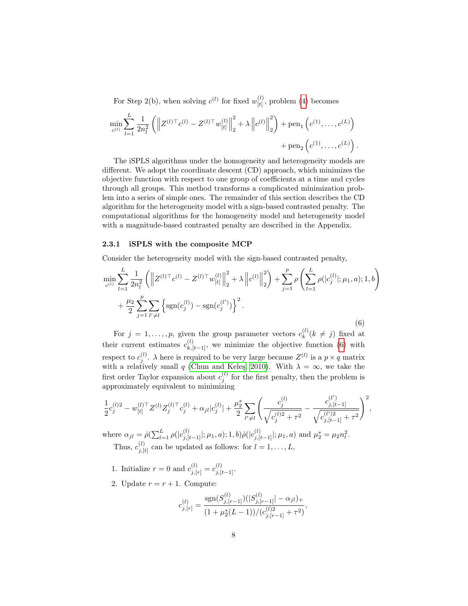For Step 2(b), when solving  $c^{(l)}$  for fixed  $w_{H}^{(l)}$  $\binom{t}{[t]}$ , problem [\(4\)](#page-3-0) becomes

$$
\min_{c^{(l)}} \sum_{l=1}^{L} \frac{1}{2n_l^2} \left( \left\| Z^{(l)\top} c^{(l)} - Z^{(l)\top} w_{[t]}^{(l)} \right\|_2^2 + \lambda \left\| c^{(l)} \right\|_2^2 \right) + \text{pen}_1 \left( c^{(1)}, \dots, c^{(L)} \right) + \text{pen}_2 \left( c^{(1)}, \dots, c^{(L)} \right).
$$

The iSPLS algorithms under the homogeneity and heterogeneity models are different. We adopt the coordinate descent (CD) approach, which minimizes the objective function with respect to one group of coefficients at a time and cycles through all groups. This method transforms a complicated minimization problem into a series of simple ones. The remainder of this section describes the CD algorithm for the heterogeneity model with a sign-based contrasted penalty. The computational algorithms for the homogeneity model and heterogeneity model with a magnitude-based contrasted penalty are described in the Appendix.

#### 2.3.1 iSPLS with the composite MCP

Consider the heterogeneity model with the sign-based contrasted penalty,

<span id="page-7-0"></span>
$$
\min_{c^{(l)}} \sum_{l=1}^{L} \frac{1}{2n_l^2} \left( \left\| Z^{(l)\top} c^{(l)} - Z^{(l)\top} w_{[t]}^{(l)} \right\|_2^2 + \lambda \left\| c^{(l)} \right\|_2^2 \right) + \sum_{j=1}^{p} \rho \left( \sum_{l=1}^{L} \rho(|c_j^{(l)}|; \mu_1, a); 1, b \right) + \frac{\mu_2}{2} \sum_{j=1}^{p} \sum_{l' \neq l} \left\{ \text{sgn}(c_j^{(l)}) - \text{sgn}(c_j^{(l')}) \right\}^2.
$$
\n(6)

For  $j = 1, \ldots, p$ , given the group parameter vectors  $c_k^{(l)}$  $\binom{u}{k}$  ( $k \neq j$ ) fixed at their current estimates  $c_{k,[t-1]}^{(l)}$ , we minimize the objective function [\(6\)](#page-7-0) with respect to  $c_j^{(l)}$ .  $\lambda$  here is required to be very large because  $Z^{(l)}$  is a  $p \times q$  matrix with a relatively small q (Chun and Keleş, 2010). With  $\lambda = \infty$ , we take the first order Taylor expansion about  $c_j^{(l)}$  for the first penalty, then the problem is approximately equivalent to minimizing

$$
\frac{1}{2}c_j^{(l)2} - w_{[t]}^{(l)\top}Z^{(l)}Z_j^{(l)\top}c_j^{(l)} + \alpha_{jl}|c_j^{(l)}| + \frac{\mu_2^*}{2}\sum_{l'\neq l}\left(\frac{c_j^{(l)}}{\sqrt{c_j^{(l)2} + \tau^2}} - \frac{c_{j,[t-1]}^{(l')}}{\sqrt{c_{j,[t-1]}^{(l')2} + \tau^2}}\right)^2,
$$

where  $\alpha_{jl} = \dot{\rho} \left( \sum_{l=1}^L \rho(|c_{j,[t-1]}^{(l)}|; \mu_1, a); 1, b \right) \dot{\rho} \left( |c_{j,[t-1]}^{(l)}|; \mu_1, a \right)$  and  $\mu_2^* = \mu_2 n_l^2$ . Thus,  $c_{i}^{(l)}$  $j_{j}[t]$  can be updated as follows: for  $l = 1, \ldots, L$ ,

- 1. Initialize  $r = 0$  and  $c_{j,[r]}^{(l)} = c_{j,[t-1]}^{(l)}$ .
- 2. Update  $r = r + 1$ . Compute:

$$
c_{j,[r]}^{(l)} = \frac{\text{sgn}(S_{j,[r-1]}^{(l)})(|S_{j,[r-1]}^{(l)}| - \alpha_{jl})_+}{(1 + \mu_2^*(L-1))/(c_{j,[r-1]}^{(l)2} + \tau^2)},
$$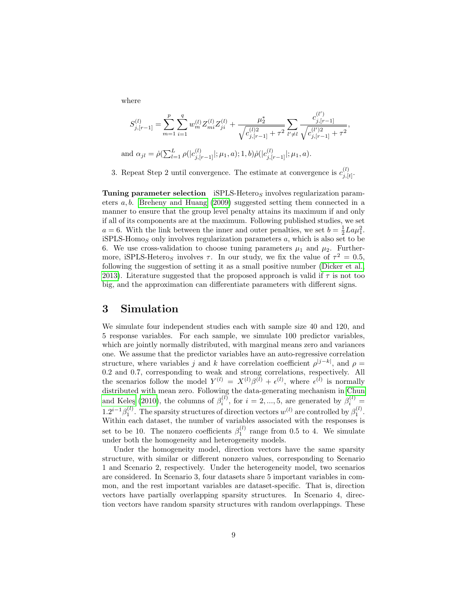where

$$
S_{j,[r-1]}^{(l)} = \sum_{m=1}^{p} \sum_{i=1}^{q} w_m^{(l)} Z_{mi}^{(l)} Z_{ji}^{(l)} + \frac{\mu_2^*}{\sqrt{c_{j,[r-1]}^{(l)2} + \tau^2}} \sum_{l' \neq l} \frac{c_{j,[r-1]}^{(l')}}{\sqrt{c_{j,[r-1]}^{(l)2} + \tau^2}}
$$
  
and  $\alpha_{jl} = \dot{\rho}(\sum_{l=1}^{L} \rho(|c_{j,[r-1]}^{(l)}|; \mu_1, a); 1, b) \dot{\rho}(|c_{j,[r-1]}^{(l)}|; \mu_1, a).$ 

,

3. Repeat Step 2 until convergence. The estimate at convergence is  $c_{i}^{(l)}$  $_{j,[t]}^{(\iota)}$ .

Tuning parameter selection iSPLS-Heteros involves regularization parameters a, b. [Breheny and Huang](#page-18-9) [\(2009\)](#page-18-9) suggested setting them connected in a manner to ensure that the group level penalty attains its maximum if and only if all of its components are at the maximum. Following published studies, we set  $a = 6$ . With the link between the inner and outer penalties, we set  $b = \frac{1}{2} L a \mu_1^2$ .  $iSPLS-Homo<sub>S</sub>$  only involves regularization parameters a, which is also set to be 6. We use cross-validation to choose tuning parameters  $\mu_1$  and  $\mu_2$ . Furthermore, iSPLS-Heteros involves  $\tau$ . In our study, we fix the value of  $\tau^2 = 0.5$ , following the suggestion of setting it as a small positive number [\(Dicker et al.,](#page-18-10) [2013\)](#page-18-10). Literature suggested that the proposed approach is valid if  $\tau$  is not too big, and the approximation can differentiate parameters with different signs.

# 3 Simulation

We simulate four independent studies each with sample size 40 and 120, and 5 response variables. For each sample, we simulate 100 predictor variables, which are jointly normally distributed, with marginal means zero and variances one. We assume that the predictor variables have an auto-regressive correlation structure, where variables j and k have correlation coefficient  $\rho^{j-k}$ , and  $\rho =$ 0.2 and 0.7, corresponding to weak and strong correlations, respectively. All the scenarios follow the model  $Y^{(l)} = X^{(l)}\beta^{(l)} + \epsilon^{(l)}$ , where  $\epsilon^{(l)}$  is normally distributed with mean zero. Following the data-generating mechanism in [Chun](#page-18-2) and Keleş [\(2010\)](#page-18-2), the columns of  $\beta_i^{(l)}$ , for  $i = 2, ..., 5$ , are generated by  $\beta_i^{(l)} =$  $1.2^{i-1}\beta_1^{(l)}$ . The sparsity structures of direction vectors  $w^{(l)}$  are controlled by  $\beta_1^{(l)}$ . Within each dataset, the number of variables associated with the responses is set to be 10. The nonzero coefficients  $\beta_1^{(l)}$  range from 0.5 to 4. We simulate under both the homogeneity and heterogeneity models.

Under the homogeneity model, direction vectors have the same sparsity structure, with similar or different nonzero values, corresponding to Scenario 1 and Scenario 2, respectively. Under the heterogeneity model, two scenarios are considered. In Scenario 3, four datasets share 5 important variables in common, and the rest important variables are dataset-specific. That is, direction vectors have partially overlapping sparsity structures. In Scenario 4, direction vectors have random sparsity structures with random overlappings. These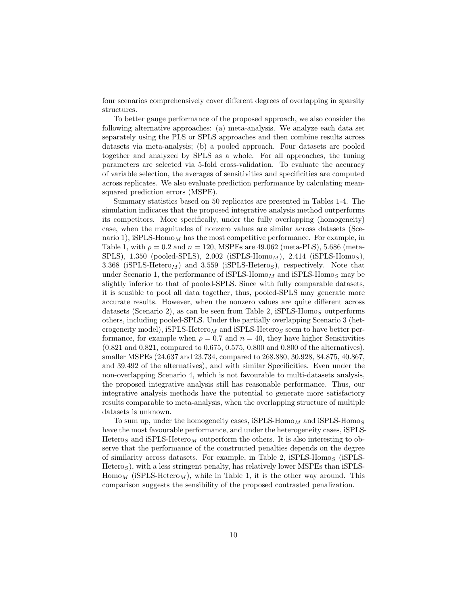four scenarios comprehensively cover different degrees of overlapping in sparsity structures.

To better gauge performance of the proposed approach, we also consider the following alternative approaches: (a) meta-analysis. We analyze each data set separately using the PLS or SPLS approaches and then combine results across datasets via meta-analysis; (b) a pooled approach. Four datasets are pooled together and analyzed by SPLS as a whole. For all approaches, the tuning parameters are selected via 5-fold cross-validation. To evaluate the accuracy of variable selection, the averages of sensitivities and specificities are computed across replicates. We also evaluate prediction performance by calculating meansquared prediction errors (MSPE).

Summary statistics based on 50 replicates are presented in Tables 1-4. The simulation indicates that the proposed integrative analysis method outperforms its competitors. More specifically, under the fully overlapping (homogeneity) case, when the magnitudes of nonzero values are similar across datasets (Scenario 1), iSPLS-Homo<sub>M</sub> has the most competitive performance. For example, in Table 1, with  $\rho = 0.2$  and  $n = 120$ , MSPEs are 49.062 (meta-PLS), 5.686 (meta-SPLS),  $1.350$  (pooled-SPLS),  $2.002$  (iSPLS-Homo<sub>M</sub>),  $2.414$  (iSPLS-Homo<sub>S</sub>), 3.368 (iSPLS-Hetero<sub>M</sub>) and 3.559 (iSPLS-Heteros), respectively. Note that under Scenario 1, the performance of iSPLS-Homo<sub>M</sub> and iSPLS-Homo<sub>S</sub> may be slightly inferior to that of pooled-SPLS. Since with fully comparable datasets, it is sensible to pool all data together, thus, pooled-SPLS may generate more accurate results. However, when the nonzero values are quite different across datasets (Scenario 2), as can be seen from Table 2, iSPLS-Homos outperforms others, including pooled-SPLS. Under the partially overlapping Scenario 3 (heterogeneity model), iSPLS-Hetero<sub>M</sub> and iSPLS-Heteros seem to have better performance, for example when  $\rho = 0.7$  and  $n = 40$ , they have higher Sensitivities (0.821 and 0.821, compared to 0.675, 0.575, 0.800 and 0.800 of the alternatives), smaller MSPEs (24.637 and 23.734, compared to 268.880, 30.928, 84.875, 40.867, and 39.492 of the alternatives), and with similar Specificities. Even under the non-overlapping Scenario 4, which is not favourable to multi-datasets analysis, the proposed integrative analysis still has reasonable performance. Thus, our integrative analysis methods have the potential to generate more satisfactory results comparable to meta-analysis, when the overlapping structure of multiple datasets is unknown.

To sum up, under the homogeneity cases,  $iSPLS-Homo<sub>M</sub>$  and  $iSPLS-Homo<sub>S</sub>$ have the most favourable performance, and under the heterogeneity cases, iSPLS-Heteros and iSPLS-Hetero<sub>M</sub> outperform the others. It is also interesting to observe that the performance of the constructed penalties depends on the degree of similarity across datasets. For example, in Table 2,  $iSPLS-Homo<sub>S</sub>$  (iSPLS- $Hetero<sub>S</sub>$ ), with a less stringent penalty, has relatively lower MSPEs than iSPLS- $Hom_{M}$  (iSPLS-Hetero<sub>M</sub>), while in Table 1, it is the other way around. This comparison suggests the sensibility of the proposed contrasted penalization.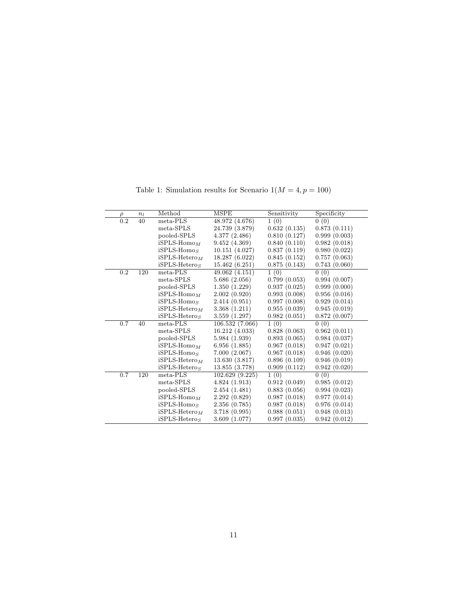| $\rho$           | $n_l$ | Method          | <b>MSPE</b>     |              | Specificity      |  |
|------------------|-------|-----------------|-----------------|--------------|------------------|--|
| $\overline{0.2}$ | 40    | $meta-PLS$      | 48.972 (4.676)  | 1(0)         | 0(0)             |  |
|                  |       | meta-SPLS       | 24.739 (3.879)  | 0.632(0.135) | 0.873(0.111)     |  |
|                  |       | pooled-SPLS     | 4.377(2.486)    | 0.810(0.127) | 0.999(0.003)     |  |
|                  |       | $iSPLS-HomoM$   | 9.452(4.369)    | 0.840(0.110) | 0.982<br>(0.018) |  |
|                  |       | $iSPLS-HomoS$   | 10.151(4.027)   | 0.837(0.119) | 0.980(0.022)     |  |
|                  |       | $iSPLS-HeteroM$ | 18.287 (6.022)  | 0.845(0.152) | 0.757(0.063)     |  |
|                  |       | $iSPLS-Heteros$ | 15.462(6.251)   | 0.875(0.143) | 0.743(0.060)     |  |
| $\overline{0.2}$ | 120   | $meta-PLS$      | 49.062(4.151)   | 1(0)         | 0(0)             |  |
|                  |       | $meta-SPLS$     | 5.686(2.056)    | 0.799(0.053) | 0.994(0.007)     |  |
|                  |       | pooled-SPLS     | 1.350(1.229)    | 0.937(0.025) | 0.999(0.000)     |  |
|                  |       | $iSPLS-HomoM$   | 2.002(0.920)    | 0.993(0.008) | 0.956(0.016)     |  |
|                  |       | $iSPLS-HomoS$   | 2.414(0.951)    | 0.997(0.008) | 0.929(0.014)     |  |
|                  |       | $iSPLS-HeteroM$ | 3.368(1.211)    | 0.955(0.039) | 0.945(0.019)     |  |
|                  |       | $iSPLS-Heteros$ | 3.559(1.297)    | 0.982(0.051) | 0.872(0.007)     |  |
| 0.7              | 40    | meta-PLS        | 106.532 (7.066) | 1(0)         | 0(0)             |  |
|                  |       | $meta-SPLS$     | 16.212 (4.033)  | 0.828(0.063) | 0.962(0.011)     |  |
|                  |       | pooled-SPLS     | 5.984 (1.939)   | 0.893(0.065) | 0.984(0.037)     |  |
|                  |       | $iSPLS-HomoM$   | 6.956(1.885)    | 0.967(0.018) | 0.947(0.021)     |  |
|                  |       | $iSPLS-HomoS$   | 7.000(2.067)    | 0.967(0.018) | 0.946(0.020)     |  |
|                  |       | $iSPLS-HeteroM$ | 13.630(3.817)   | 0.896(0.109) | 0.946(0.019)     |  |
|                  |       | $iSPLS-HeteroS$ | 13.855 (3.778)  | 0.909(0.112) | 0.942(0.020)     |  |
| 0.7              | 120   | meta-PLS        | 102.629(9.225)  | 1(0)         | 0(0)             |  |
|                  |       | meta-SPLS       | 4.824(1.913)    | 0.912(0.049) | 0.985(0.012)     |  |
|                  |       | pooled-SPLS     | 2.454(1.481)    | 0.883(0.056) | 0.994(0.023)     |  |
|                  |       | $iSPLS-HomoM$   | 2.292(0.829)    | 0.987(0.018) | 0.977(0.014)     |  |
|                  |       | $iSPLS-HomoS$   | 2.356(0.785)    | 0.987(0.018) | 0.976(0.014)     |  |
|                  |       | $iSPLS-HeteroM$ | 3.718(0.995)    | 0.988(0.051) | 0.948(0.013)     |  |
|                  |       | $iSPLS-HeteroS$ | 3.609(1.077)    | 0.997(0.035) | 0.942(0.012)     |  |

Table 1: Simulation results for Scenario  $\mathbb{1}(M=4, p=100)$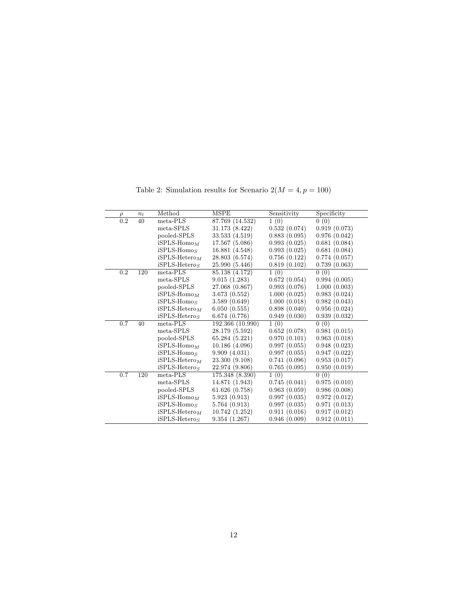| $\rho$           | $n_l$ | Method<br>MSPE  |                  | Sensitivity  | Specificity  |  |
|------------------|-------|-----------------|------------------|--------------|--------------|--|
| $\overline{0.2}$ | 40    | meta-PLS        | 87.769 (14.532)  | 1(0)         | 0(0)         |  |
|                  |       | meta-SPLS       | 31.173 (8.422)   | 0.532(0.074) | 0.919(0.073) |  |
|                  |       | pooled-SPLS     | 33.533 (4.519)   | 0.883(0.095) | 0.976(0.042) |  |
|                  |       | $iSPLS-HomoM$   | 17.567 (5.086)   | 0.993(0.025) | 0.681(0.084) |  |
|                  |       | $iSPLS-HomoS$   | 16.881 (4.548)   | 0.993(0.025) | 0.681(0.084) |  |
|                  |       | $iSPLS-HeteroM$ | 28.803 (6.574)   | 0.756(0.122) | 0.774(0.057) |  |
|                  |       | $iSPLS-HeteroS$ | 25.990 (5.446)   | 0.819(0.102) | 0.739(0.063) |  |
| 0.2              | 120   | meta-PLS        | 85.138 (4.172)   | 1(0)         | 0(0)         |  |
|                  |       | meta-SPLS       | 9.015(1.283)     | 0.672(0.054) | 0.994(0.005) |  |
|                  |       | pooled-SPLS     | 27.068 (0.867)   | 0.993(0.076) | 1.000(0.003) |  |
|                  |       | $iSPLS-HomoM$   | 3.673(0.552)     | 1.000(0.025) | 0.983(0.024) |  |
|                  |       | $iSPLS-HomoS$   | 3.589(0.649)     | 1.000(0.018) | 0.982(0.043) |  |
|                  |       | $iSPLS-HeteroM$ | 6.050(0.555)     | 0.898(0.040) | 0.956(0.024) |  |
|                  |       | $iSPLS-Heteros$ | 6.674(0.776)     | 0.949(0.030) | 0.939(0.032) |  |
| 0.7              | 40    | meta-PLS        | 192.366 (10.990) | 1(0)         | 0(0)         |  |
|                  |       | meta-SPLS       | 28.179 (5.592)   | 0.652(0.078) | 0.981(0.015) |  |
|                  |       | pooled-SPLS     | 65.284(5.221)    | 0.970(0.101) | 0.963(0.018) |  |
|                  |       | $iSPLS-HomoM$   | 10.186 (4.096)   | 0.997(0.055) | 0.948(0.023) |  |
|                  |       | $iSPLS-HomoS$   | 9.909(4.031)     | 0.997(0.055) | 0.947(0.022) |  |
|                  |       | $iSPLS-HeteroM$ | 23.300 (9.108)   | 0.741(0.096) | 0.953(0.017) |  |
|                  |       | $iSPLS-Heteros$ | 22.974 (9.806)   | 0.765(0.095) | 0.950(0.019) |  |
| 0.7              | 120   | meta-PLS        | 175.348 (8.390)  | 1(0)         | 0(0)         |  |
|                  |       | meta-SPLS       | 14.871 (1.943)   | 0.745(0.041) | 0.975(0.010) |  |
|                  |       | pooled-SPLS     | 61.626(0.758)    | 0.963(0.059) | 0.986(0.008) |  |
|                  |       | $iSPLS-HomoM$   | 5.923(0.913)     | 0.997(0.035) | 0.972(0.012) |  |
|                  |       | $iSPLS-HomoS$   | 5.764(0.913)     | 0.997(0.035) | 0.971(0.013) |  |
|                  |       | $iSPLS-HeteroM$ | 10.742(1.252)    | 0.911(0.016) | 0.917(0.012) |  |
|                  |       | $iSPLS-HeteroS$ | 9.354(1.267)     | 0.946(0.009) | 0.912(0.011) |  |

Table 2: Simulation results for Scenario  $2(M=4,p=100)$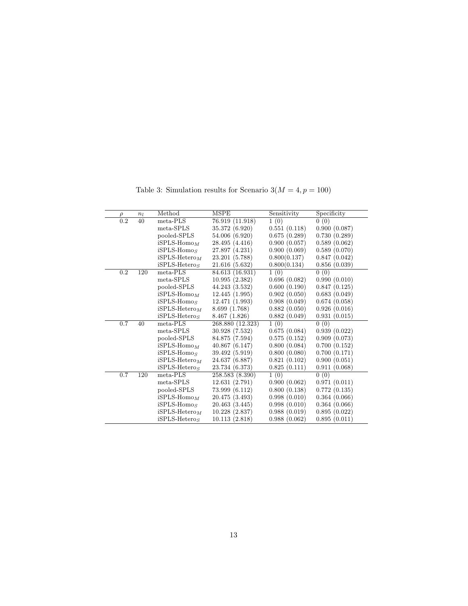| $\overline{0.2}$<br>1(0)<br>0(0)<br>meta-PLS<br>40<br>76.919 (11.918)  |              |
|------------------------------------------------------------------------|--------------|
|                                                                        |              |
| 0.551(0.118)<br>meta-SPLS<br>35.372 (6.920)                            | 0.900(0.087) |
| 0.675(0.289)<br>pooled-SPLS<br>54.006 (6.920)                          | 0.730(0.289) |
| $iSPLS-HomoM$<br>0.900(0.057)<br>28.495 (4.416)                        | 0.589(0.062) |
| 0.900(0.069)<br>$iSPLS-HomoS$<br>27.897 (4.231)                        | 0.589(0.070) |
| 0.800(0.137)<br>$iSPLS-HeteroM$<br>23.201 (5.788)                      | 0.847(0.042) |
| 0.800(0.134)<br>$iSPLS-Heteros$<br>21.616 (5.632)                      | 0.856(0.039) |
| $\overline{0.2}$<br>1(0)<br>0(0)<br>120<br>meta-PLS<br>84.613 (16.931) |              |
| meta-SPLS<br>10.995(2.382)<br>0.696(0.082)                             | 0.990(0.010) |
| pooled-SPLS<br>44.243 (3.532)<br>0.600(0.190)                          | 0.847(0.125) |
| $iSPLS-HomoM$<br>0.902(0.050)<br>12.445(1.995)                         | 0.683(0.049) |
| $iSPLS-HomoS$<br>0.908(0.049)<br>12.471 (1.993)                        | 0.674(0.058) |
| $iSPLS-HeteroM$<br>0.882(0.050)<br>8.699 (1.768)                       | 0.926(0.016) |
| $iSPLS-Heteros$<br>8.467 (1.826)<br>0.882(0.049)                       | 0.931(0.015) |
| 0(0)<br>0.7<br>$meta-PLS$<br>268.880 (12.323)<br>1(0)<br>40            |              |
| meta-SPLS<br>30.928 (7.532)<br>0.675(0.084)                            | 0.939(0.022) |
| pooled-SPLS<br>84.875 (7.594)<br>0.575(0.152)                          | 0.909(0.073) |
| $iSPLS-HomoM$<br>0.800(0.084)<br>40.867(6.147)                         | 0.700(0.152) |
| $iSPLS-HomoS$<br>0.800(0.080)<br>39.492 (5.919)                        | 0.700(0.171) |
| $iSPLS-HeteroM$<br>0.821(0.102)<br>24.637 (6.887)                      | 0.900(0.051) |
| $iSPLS-Heteros$<br>23.734 (6.373)<br>0.825(0.111)                      | 0.911(0.068) |
| 1(0)<br>0(0)<br>0.7<br>meta-PLS<br>120<br>258.583 (8.390)              |              |
| meta-SPLS<br>12.631(2.791)<br>0.900(0.062)                             | 0.971(0.011) |
| pooled-SPLS<br>0.800(0.138)<br>73.999 (6.112)                          | 0.772(0.135) |
| $iSPLS-HomoM$<br>0.998(0.010)<br>20.475 (3.493)                        | 0.364(0.066) |
| $iSPLS-HomoS$<br>0.998(0.010)<br>20.463 (3.445)                        | 0.364(0.066) |
| $iSPLS-HeteroM$<br>0.988(0.019)<br>10.228(2.837)                       | 0.895(0.022) |
| $iSPLS-HeteroS$<br>10.113(2.818)<br>0.988(0.062)                       | 0.895(0.011) |

Table 3: Simulation results for Scenario  $3(M=4, p=100)$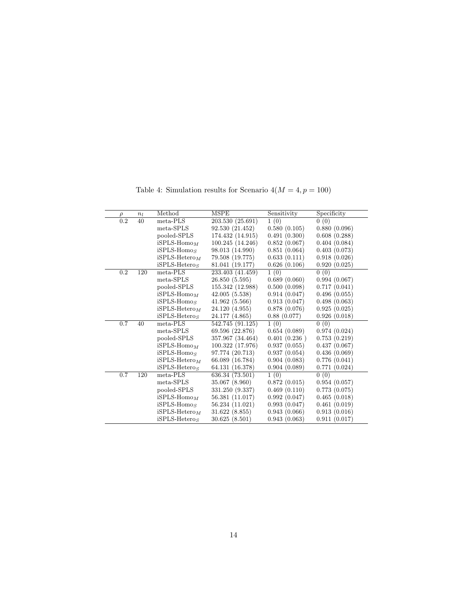| $\rho$           | $n_l$ | Method          | MSPE             |              | Specificity  |  |
|------------------|-------|-----------------|------------------|--------------|--------------|--|
| $\overline{0.2}$ | 40    | $meta-PLS$      | 203.530 (25.691) | 1(0)         | 0(0)         |  |
|                  |       | meta-SPLS       | 92.530 (21.452)  | 0.580(0.105) | 0.880(0.096) |  |
|                  |       | pooled-SPLS     | 174.432 (14.915) | 0.491(0.300) | 0.608(0.288) |  |
|                  |       | $iSPLS-HomoM$   | 100.245 (14.246) | 0.852(0.067) | 0.404(0.084) |  |
|                  |       | $iSPLS-HomoS$   | 98.013 (14.990)  | 0.851(0.064) | 0.403(0.073) |  |
|                  |       | $iSPLS-HeteroM$ | 79.508 (19.775)  | 0.633(0.111) | 0.918(0.026) |  |
|                  |       | $iSPLS-Heteros$ | 81.041 (19.177)  | 0.626(0.106) | 0.920(0.025) |  |
| 0.2              | 120   | $meta-PLS$      | 233.403 (41.459) | 1(0)         | 0(0)         |  |
|                  |       | $meta-SPLS$     | 26.850(5.595)    | 0.689(0.060) | 0.994(0.067) |  |
|                  |       | pooled-SPLS     | 155.342 (12.988) | 0.500(0.098) | 0.717(0.041) |  |
|                  |       | $iSPLS-HomoM$   | 42.005(5.538)    | 0.914(0.047) | 0.496(0.055) |  |
|                  |       | $iSPLS-HomoS$   | 41.962(5.566)    | 0.913(0.047) | 0.498(0.063) |  |
|                  |       | $iSPLS-HeteroM$ | 24.120 (4.955)   | 0.878(0.076) | 0.925(0.025) |  |
|                  |       | $iSPLS-Heteros$ | 24.177 (4.865)   | 0.88(0.077)  | 0.926(0.018) |  |
| 0.7              | 40    | $meta-PLS$      | 542.745 (91.125) | 1(0)         | 0(0)         |  |
|                  |       | meta-SPLS       | 69.596 (22.876)  | 0.654(0.089) | 0.974(0.024) |  |
|                  |       | pooled-SPLS     | 357.967 (34.464) | 0.401(0.236) | 0.753(0.219) |  |
|                  |       | $iSPLS-HomoM$   | 100.322 (17.976) | 0.937(0.055) | 0.437(0.067) |  |
|                  |       | $iSPLS-HomoS$   | 97.774 (20.713)  | 0.937(0.054) | 0.436(0.069) |  |
|                  |       | $iSPLS-HeteroM$ | 66.089 (16.784)  | 0.904(0.083) | 0.776(0.041) |  |
|                  |       | $iSPLS-Heteros$ | 64.131 (16.378)  | 0.904(0.089) | 0.771(0.024) |  |
| 0.7              | 120   | $meta-PLS$      | 636.34 (73.501)  | 1(0)         | 0(0)         |  |
|                  |       | meta-SPLS       | 35.067 (8.960)   | 0.872(0.015) | 0.954(0.057) |  |
|                  |       | pooled-SPLS     | 331.250 (9.337)  | 0.469(0.110) | 0.773(0.075) |  |
|                  |       | $iSPLS-HomoM$   | 56.381 (11.017)  | 0.992(0.047) | 0.465(0.018) |  |
|                  |       | $iSPLS-HomoS$   | 56.234 (11.021)  | 0.993(0.047) | 0.461(0.019) |  |
|                  |       | $iSPLS-HeteroM$ | 31.622 (8.855)   | 0.943(0.066) | 0.913(0.016) |  |
|                  |       | $iSPLS-HeteroS$ | 30.625 (8.501)   | 0.943(0.063) | 0.911(0.017) |  |

Table 4: Simulation results for Scenario  $4(M=4,p=100)$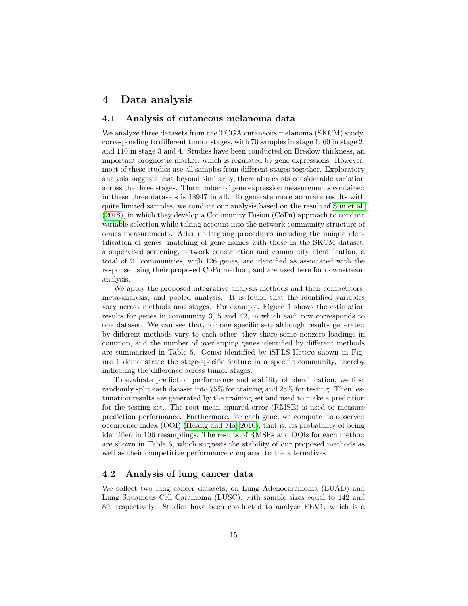# 4 Data analysis

### 4.1 Analysis of cutaneous melanoma data

We analyze three datasets from the TCGA cutaneous melanoma (SKCM) study, corresponding to different tumor stages, with 70 samples in stage 1, 60 in stage 2, and 110 in stage 3 and 4. Studies have been conducted on Breslow thickness, an important prognostic marker, which is regulated by gene expressions. However, most of these studies use all samples from different stages together. Exploratory analysis suggests that beyond similarity, there also exists considerable variation across the three stages. The number of gene expression measurements contained in these three datasets is 18947 in all. To generate more accurate results with quite limited samples, we conduct our analysis based on the result of [Sun et al.](#page-19-11) [\(2018\)](#page-19-11), in which they develop a Community Fusion (CoFu) approach to conduct variable selection while taking account into the network community structure of omics measurements. After undergoing procedures including the unique identification of genes, matching of gene names with those in the SKCM dataset, a supervised screening, network construction and community identification, a total of 21 communities, with 126 genes, are identified as associated with the response using their proposed CoFu method, and are used here for downstream analysis.

We apply the proposed integrative analysis methods and their competitors, meta-analysis, and pooled analysis. It is found that the identified variables vary across methods and stages. For example, Figure 1 shows the estimation results for genes in community 3, 5 and 42, in which each row corresponds to one dataset. We can see that, for one specific set, although results generated by different methods vary to each other, they share some nonzero loadings in common, and the number of overlapping genes identified by different methods are summarized in Table 5. Genes identified by iSPLS-Hetero shown in Figure 1 demonstrate the stage-specific feature in a specific community, thereby indicating the difference across tumor stages.

To evaluate prediction performance and stability of identification, we first randomly split each dataset into 75% for training and 25% for testing. Then, estimation results are generated by the training set and used to make a prediction for the testing set. The root mean squared error (RMSE) is used to measure prediction performance. Furthermore, for each gene, we compute its observed occurrence index (OOI) [\(Huang and Ma, 2010\)](#page-19-12), that is, its probability of being identified in 100 resamplings. The results of RMSEs and OOIs for each method are shown in Table 6, which suggests the stability of our proposed methods as well as their competitive performance compared to the alternatives.

### 4.2 Analysis of lung cancer data

We collect two lung cancer datasets, on Lung Adenocarcinoma (LUAD) and Lung Squamous Cell Carcinoma (LUSC), with sample sizes equal to 142 and 89, respectively. Studies have been conducted to analyze FEV1, which is a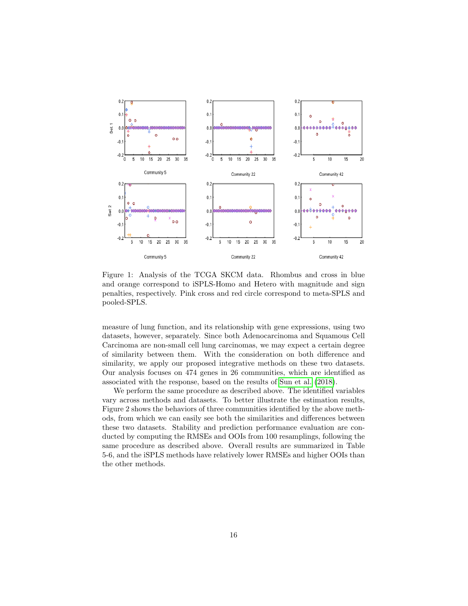

Figure 1: Analysis of the TCGA SKCM data. Rhombus and cross in blue and orange correspond to iSPLS-Homo and Hetero with magnitude and sign penalties, respectively. Pink cross and red circle correspond to meta-SPLS and pooled-SPLS.

measure of lung function, and its relationship with gene expressions, using two datasets, however, separately. Since both Adenocarcinoma and Squamous Cell Carcinoma are non-small cell lung carcinomas, we may expect a certain degree of similarity between them. With the consideration on both difference and similarity, we apply our proposed integrative methods on these two datasets. Our analysis focuses on 474 genes in 26 communities, which are identified as associated with the response, based on the results of [Sun et al.](#page-19-11) [\(2018\)](#page-19-11).

We perform the same procedure as described above. The identified variables vary across methods and datasets. To better illustrate the estimation results, Figure 2 shows the behaviors of three communities identified by the above methods, from which we can easily see both the similarities and differences between these two datasets. Stability and prediction performance evaluation are conducted by computing the RMSEs and OOIs from 100 resamplings, following the same procedure as described above. Overall results are summarized in Table 5-6, and the iSPLS methods have relatively lower RMSEs and higher OOIs than the other methods.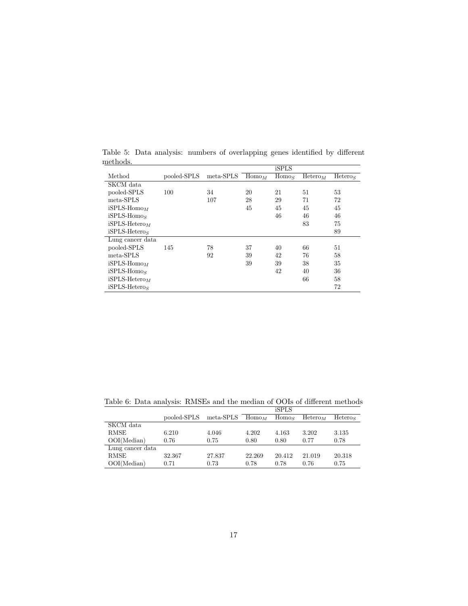|                  |             |           |           | iSPLS     |                     |                     |
|------------------|-------------|-----------|-----------|-----------|---------------------|---------------------|
| Method           | pooled-SPLS | meta-SPLS | $Hom_{M}$ | $Hom_{S}$ | Hetero <sub>M</sub> | Hetero <sub>S</sub> |
| SKCM data        |             |           |           |           |                     |                     |
| pooled-SPLS      | 100         | 34        | 20        | 21        | 51                  | 53                  |
| meta-SPLS        |             | 107       | 28        | 29        | 71                  | 72                  |
| $iSPLS-HomoM$    |             |           | 45        | 45        | 45                  | 45                  |
| $iSPLS-HomoS$    |             |           |           | 46        | 46                  | 46                  |
| $iSPLS-Heteron$  |             |           |           |           | 83                  | 75                  |
| $iSPLS-Heteros$  |             |           |           |           |                     | 89                  |
| Lung cancer data |             |           |           |           |                     |                     |
| pooled-SPLS      | 145         | 78        | 37        | 40        | 66                  | 51                  |
| meta-SPLS        |             | 92        | 39        | 42        | 76                  | 58                  |
| $iSPLS-HomoM$    |             |           | 39        | 39        | 38                  | 35                  |
| $iSPLS-Homos$    |             |           |           | 42        | 40                  | 36                  |
| $iSPLS-HeteroM$  |             |           |           |           | 66                  | 58                  |
| $iSPLS-Heteros$  |             |           |           |           |                     | 72                  |
|                  |             |           |           |           |                     |                     |

Table 5: Data analysis: numbers of overlapping genes identified by different methods.

|  | Table 6: Data analysis: RMSEs and the median of OOIs of different methods |  |  |              |  |  |
|--|---------------------------------------------------------------------------|--|--|--------------|--|--|
|  |                                                                           |  |  | <b>iSPLS</b> |  |  |

| Heteros |
|---------|
|         |
| 3.135   |
| 0.78    |
|         |
| 20.318  |
| 0.75    |
|         |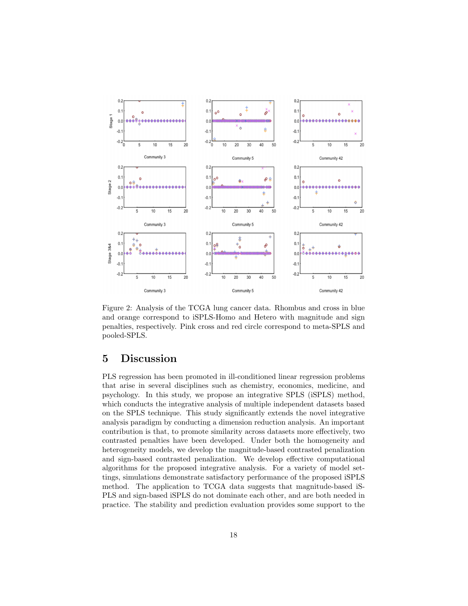

Figure 2: Analysis of the TCGA lung cancer data. Rhombus and cross in blue and orange correspond to iSPLS-Homo and Hetero with magnitude and sign penalties, respectively. Pink cross and red circle correspond to meta-SPLS and pooled-SPLS.

# 5 Discussion

PLS regression has been promoted in ill-conditioned linear regression problems that arise in several disciplines such as chemistry, economics, medicine, and psychology. In this study, we propose an integrative SPLS (iSPLS) method, which conducts the integrative analysis of multiple independent datasets based on the SPLS technique. This study significantly extends the novel integrative analysis paradigm by conducting a dimension reduction analysis. An important contribution is that, to promote similarity across datasets more effectively, two contrasted penalties have been developed. Under both the homogeneity and heterogeneity models, we develop the magnitude-based contrasted penalization and sign-based contrasted penalization. We develop effective computational algorithms for the proposed integrative analysis. For a variety of model settings, simulations demonstrate satisfactory performance of the proposed iSPLS method. The application to TCGA data suggests that magnitude-based iS-PLS and sign-based iSPLS do not dominate each other, and are both needed in practice. The stability and prediction evaluation provides some support to the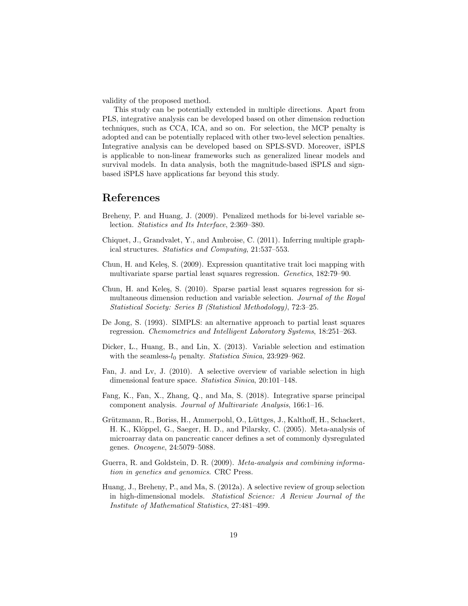validity of the proposed method.

This study can be potentially extended in multiple directions. Apart from PLS, integrative analysis can be developed based on other dimension reduction techniques, such as CCA, ICA, and so on. For selection, the MCP penalty is adopted and can be potentially replaced with other two-level selection penalties. Integrative analysis can be developed based on SPLS-SVD. Moreover, iSPLS is applicable to non-linear frameworks such as generalized linear models and survival models. In data analysis, both the magnitude-based iSPLS and signbased iSPLS have applications far beyond this study.

# References

- <span id="page-18-9"></span>Breheny, P. and Huang, J. (2009). Penalized methods for bi-level variable selection. Statistics and Its Interface, 2:369–380.
- <span id="page-18-8"></span>Chiquet, J., Grandvalet, Y., and Ambroise, C. (2011). Inferring multiple graphical structures. Statistics and Computing, 21:537–553.
- <span id="page-18-0"></span>Chun, H. and Keleş, S. (2009). Expression quantitative trait loci mapping with multivariate sparse partial least squares regression. Genetics, 182:79–90.
- <span id="page-18-2"></span>Chun, H. and Keleş, S. (2010). Sparse partial least squares regression for simultaneous dimension reduction and variable selection. Journal of the Royal Statistical Society: Series B (Statistical Methodology), 72:3–25.
- <span id="page-18-5"></span>De Jong, S. (1993). SIMPLS: an alternative approach to partial least squares regression. Chemometrics and Intelligent Laboratory Systems, 18:251–263.
- <span id="page-18-10"></span>Dicker, L., Huang, B., and Lin, X. (2013). Variable selection and estimation with the seamless- $l_0$  penalty. Statistica Sinica, 23:929–962.
- <span id="page-18-1"></span>Fan, J. and Lv, J. (2010). A selective overview of variable selection in high dimensional feature space. Statistica Sinica, 20:101–148.
- <span id="page-18-7"></span>Fang, K., Fan, X., Zhang, Q., and Ma, S. (2018). Integrative sparse principal component analysis. Journal of Multivariate Analysis, 166:1–16.
- <span id="page-18-4"></span>Grützmann, R., Boriss, H., Ammerpohl, O., Lüttges, J., Kalthoff, H., Schackert, H. K., Klöppel, G., Saeger, H. D., and Pilarsky, C. (2005). Meta-analysis of microarray data on pancreatic cancer defines a set of commonly dysregulated genes. Oncogene, 24:5079–5088.
- <span id="page-18-3"></span>Guerra, R. and Goldstein, D. R. (2009). Meta-analysis and combining information in genetics and genomics. CRC Press.
- <span id="page-18-6"></span>Huang, J., Breheny, P., and Ma, S. (2012a). A selective review of group selection in high-dimensional models. Statistical Science: A Review Journal of the Institute of Mathematical Statistics, 27:481–499.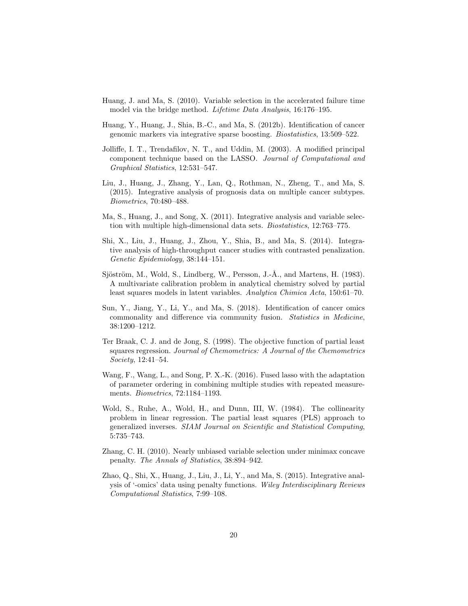- <span id="page-19-12"></span>Huang, J. and Ma, S. (2010). Variable selection in the accelerated failure time model via the bridge method. Lifetime Data Analysis, 16:176–195.
- <span id="page-19-7"></span>Huang, Y., Huang, J., Shia, B.-C., and Ma, S. (2012b). Identification of cancer genomic markers via integrative sparse boosting. Biostatistics, 13:509–522.
- <span id="page-19-6"></span>Jolliffe, I. T., Trendafilov, N. T., and Uddin, M. (2003). A modified principal component technique based on the LASSO. Journal of Computational and Graphical Statistics, 12:531–547.
- <span id="page-19-2"></span>Liu, J., Huang, J., Zhang, Y., Lan, Q., Rothman, N., Zheng, T., and Ma, S. (2015). Integrative analysis of prognosis data on multiple cancer subtypes. Biometrics, 70:480–488.
- <span id="page-19-3"></span>Ma, S., Huang, J., and Song, X. (2011). Integrative analysis and variable selection with multiple high-dimensional data sets. Biostatistics, 12:763–775.
- <span id="page-19-9"></span>Shi, X., Liu, J., Huang, J., Zhou, Y., Shia, B., and Ma, S. (2014). Integrative analysis of high-throughput cancer studies with contrasted penalization. Genetic Epidemiology, 38:144–151.
- <span id="page-19-1"></span>Sjöström, M., Wold, S., Lindberg, W., Persson, J.-Å., and Martens, H. (1983). A multivariate calibration problem in analytical chemistry solved by partial least squares models in latent variables. Analytica Chimica Acta, 150:61–70.
- <span id="page-19-11"></span>Sun, Y., Jiang, Y., Li, Y., and Ma, S. (2018). Identification of cancer omics commonality and difference via community fusion. Statistics in Medicine, 38:1200–1212.
- <span id="page-19-5"></span>Ter Braak, C. J. and de Jong, S. (1998). The objective function of partial least squares regression. Journal of Chemometrics: A Journal of the Chemometrics Society, 12:41–54.
- <span id="page-19-10"></span>Wang, F., Wang, L., and Song, P. X.-K. (2016). Fused lasso with the adaptation of parameter ordering in combining multiple studies with repeated measurements. Biometrics, 72:1184–1193.
- <span id="page-19-0"></span>Wold, S., Ruhe, A., Wold, H., and Dunn, III, W. (1984). The collinearity problem in linear regression. The partial least squares (PLS) approach to generalized inverses. SIAM Journal on Scientific and Statistical Computing, 5:735–743.
- <span id="page-19-8"></span>Zhang, C. H. (2010). Nearly unbiased variable selection under minimax concave penalty. The Annals of Statistics, 38:894–942.
- <span id="page-19-4"></span>Zhao, Q., Shi, X., Huang, J., Liu, J., Li, Y., and Ma, S. (2015). Integrative analysis of '-omics' data using penalty functions. Wiley Interdisciplinary Reviews Computational Statistics, 7:99–108.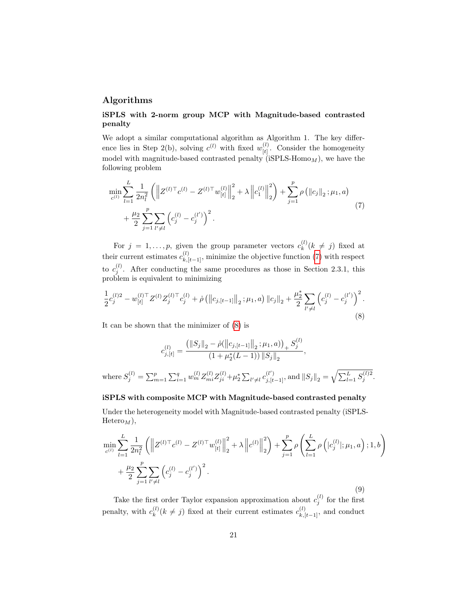# Algorithms

where

## iSPLS with 2-norm group MCP with Magnitude-based contrasted penalty

We adopt a similar computational algorithm as Algorithm 1. The key difference lies in Step 2(b), solving  $c^{(l)}$  with fixed  $w_{H}^{(l)}$  $\begin{bmatrix} u \\ [t] \end{bmatrix}$ . Consider the homogeneity model with magnitude-based contrasted penalty ( $iSPLS-Homo_M$ ), we have the following problem

<span id="page-20-0"></span>
$$
\min_{c^{(l)}} \sum_{l=1}^{L} \frac{1}{2n_l^2} \left( \left\| Z^{(l)\top} c^{(l)} - Z^{(l)\top} w_{[t]}^{(l)} \right\|_2^2 + \lambda \left\| c_1^{(l)} \right\|_2^2 \right) + \sum_{j=1}^{p} \rho \left( \| c_j \|_2; \mu_1, a \right) + \frac{\mu_2}{2} \sum_{j=1}^{p} \sum_{l' \neq l} \left( c_j^{(l)} - c_j^{(l')} \right)^2.
$$
\n(7)

For  $j = 1, \ldots, p$ , given the group parameter vectors  $c_k^{(l)}$  $\binom{u}{k}$  ( $k \neq j$ ) fixed at their current estimates  $c_{k,[t-1]}^{(l)}$ , minimize the objective function [\(7\)](#page-20-0) with respect to  $c_j^{(l)}$ . After conducting the same procedures as those in Section 2.3.1, this problem is equivalent to minimizing

<span id="page-20-1"></span>
$$
\frac{1}{2}c_j^{(l)2} - w_{[t]}^{(l)\top}Z^{(l)}Z_j^{(l)\top}c_j^{(l)} + \dot{\rho}\left(\left\|c_{j,[t-1]}\right\|_2; \mu_1, a\right) \left\|c_j\right\|_2 + \frac{\mu_2^*}{2}\sum_{l'\neq l} \left(c_j^{(l)} - c_j^{(l')}\right)^2.
$$
\n(8)

It can be shown that the minimizer of [\(8\)](#page-20-1) is

$$
c_{j,[t]}^{(l)} = \frac{\left(\|S_j\|_2 - \dot{\rho}(\left\|c_{j,[t-1]}\right\|_2; \mu_1, a)\right)_+ S_j^{(l)}}{\left(1 + \mu_2^*(L-1)\right) \|S_j\|_2},
$$
  
re 
$$
S_j^{(l)} = \sum_{m=1}^p \sum_{i=1}^q w_m^{(l)} Z_{mi}^{(l)} Z_{ji}^{(l)} + \mu_2^* \sum_{l' \neq l} c_{j,[t-1]}^{(l')},
$$
 and 
$$
\|S_j\|_2 = \sqrt{\sum_{l=1}^L S_j^{(l)2}}
$$

.

#### iSPLS with composite MCP with Magnitude-based contrasted penalty

Under the heterogeneity model with Magnitude-based contrasted penalty (iSPLS- $Hetero<sub>M</sub>$ ,

<span id="page-20-2"></span>
$$
\min_{c^{(l)}} \sum_{l=1}^{L} \frac{1}{2n_l^2} \left( \left\| Z^{(l)\top} c^{(l)} - Z^{(l)\top} w_{[t]}^{(l)} \right\|_2^2 + \lambda \left\| c^{(l)} \right\|_2^2 \right) + \sum_{j=1}^{p} \rho \left( \sum_{l=1}^{L} \rho \left( |c_j^{(l)}|; \mu_1, a \right); 1, b \right) + \frac{\mu_2}{2} \sum_{j=1}^{p} \sum_{l'\neq l} \left( c_j^{(l)} - c_j^{(l')} \right)^2.
$$
\n(9)

Take the first order Taylor expansion approximation about  $c_j^{(l)}$  for the first penalty, with  $c_k^{(l)}$  $k_k^{(l)}(k \neq j)$  fixed at their current estimates  $c_{k,[t-1]}^{(l)}$ , and conduct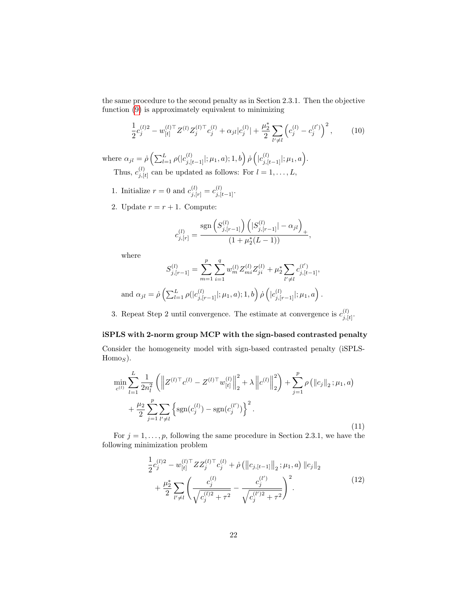the same procedure to the second penalty as in Section 2.3.1. Then the objective function [\(9\)](#page-20-2) is approximately equivalent to minimizing

$$
\frac{1}{2}c_j^{(l)2} - w_{[t]}^{(l)\top} Z^{(l)} Z_j^{(l)\top} c_j^{(l)} + \alpha_{jl} |c_j^{(l)}| + \frac{\mu_2^*}{2} \sum_{l' \neq l} \left( c_j^{(l)} - c_j^{(l')} \right)^2, \tag{10}
$$

where  $\alpha_{jl} = \dot{\rho} \left( \sum_{l=1}^{L} \rho(|c_{j,[t-1]}^{(l)}; \mu_1, a); 1, b \right) \dot{\rho} \left( |c_{j,[t-1]}^{(l)}|; \mu_1, a \right).$ 

Thus,  $c_{i}^{(l)}$  $j_{j,[t]}^{(t)}$  can be updated as follows: For  $l=1,\ldots,L,$ 

- 1. Initialize  $r = 0$  and  $c_{j,[r]}^{(l)} = c_{j,[t-1]}^{(l)}$ .
- 2. Update  $r = r + 1$ . Compute:

$$
c_{j,[r]}^{(l)} = \frac{\text{sgn}\left(S_{j,[r-1]}^{(l)}\right)\left(|S_{j,[r-1]}^{(l)}| - \alpha_{jl}\right)_+}{(1 + \mu_2^*(L-1))},
$$

where

$$
S_{j,[r-1]}^{(l)} = \sum_{m=1}^{p} \sum_{i=1}^{q} w_m^{(l)} Z_{mi}^{(l)} Z_{ji}^{(l)} + \mu_2^* \sum_{l' \neq l} c_{j,[t-1]}^{(l')},
$$
  
and  $\alpha_{jl} = \dot{\rho} \left( \sum_{l=1}^{L} \rho(|c_{j,[r-1]}^{(l)}|; \mu_1, a); 1, b \right) \dot{\rho} \left( |c_{j,[r-1]}^{(l)}|; \mu_1, a \right).$ 

3. Repeat Step 2 until convergence. The estimate at convergence is  $c_{i}^{(l)}$  $\frac{(t)}{j,[t]}$ .

### iSPLS with 2-norm group MCP with the sign-based contrasted penalty

Consider the homogeneity model with sign-based contrasted penalty (iSPLS- $Hom_8$ ).

$$
\min_{c^{(l)}} \sum_{l=1}^{L} \frac{1}{2n_l^2} \left( \left\| Z^{(l)\top} c^{(l)} - Z^{(l)\top} w_{[t]}^{(l)} \right\|_2^2 + \lambda \left\| c^{(l)} \right\|_2^2 \right) + \sum_{j=1}^{p} \rho \left( \| c_j \|_2; \mu_1, a \right) + \frac{\mu_2}{2} \sum_{j=1}^{p} \sum_{l' \neq l} \left\{ \text{sgn}(c_j^{(l)}) - \text{sgn}(c_j^{(l')}) \right\}^2.
$$
\n(11)

For  $j = 1, \ldots, p$ , following the same procedure in Section 2.3.1, we have the following minimization problem

<span id="page-21-0"></span>
$$
\frac{1}{2}c_j^{(l)2} - w_{[t]}^{(l)\top} Z Z_j^{(l)\top} c_j^{(l)} + \dot{\rho} \left( \|c_{j,[t-1]}\|_2; \mu_1, a \right) \|c_j\|_2 \n+ \frac{\mu_2^*}{2} \sum_{l' \neq l} \left( \frac{c_j^{(l)}}{\sqrt{c_j^{(l)2} + \tau^2}} - \frac{c_j^{(l')}}{\sqrt{c_j^{(l')2} + \tau^2}} \right)^2.
$$
\n(12)